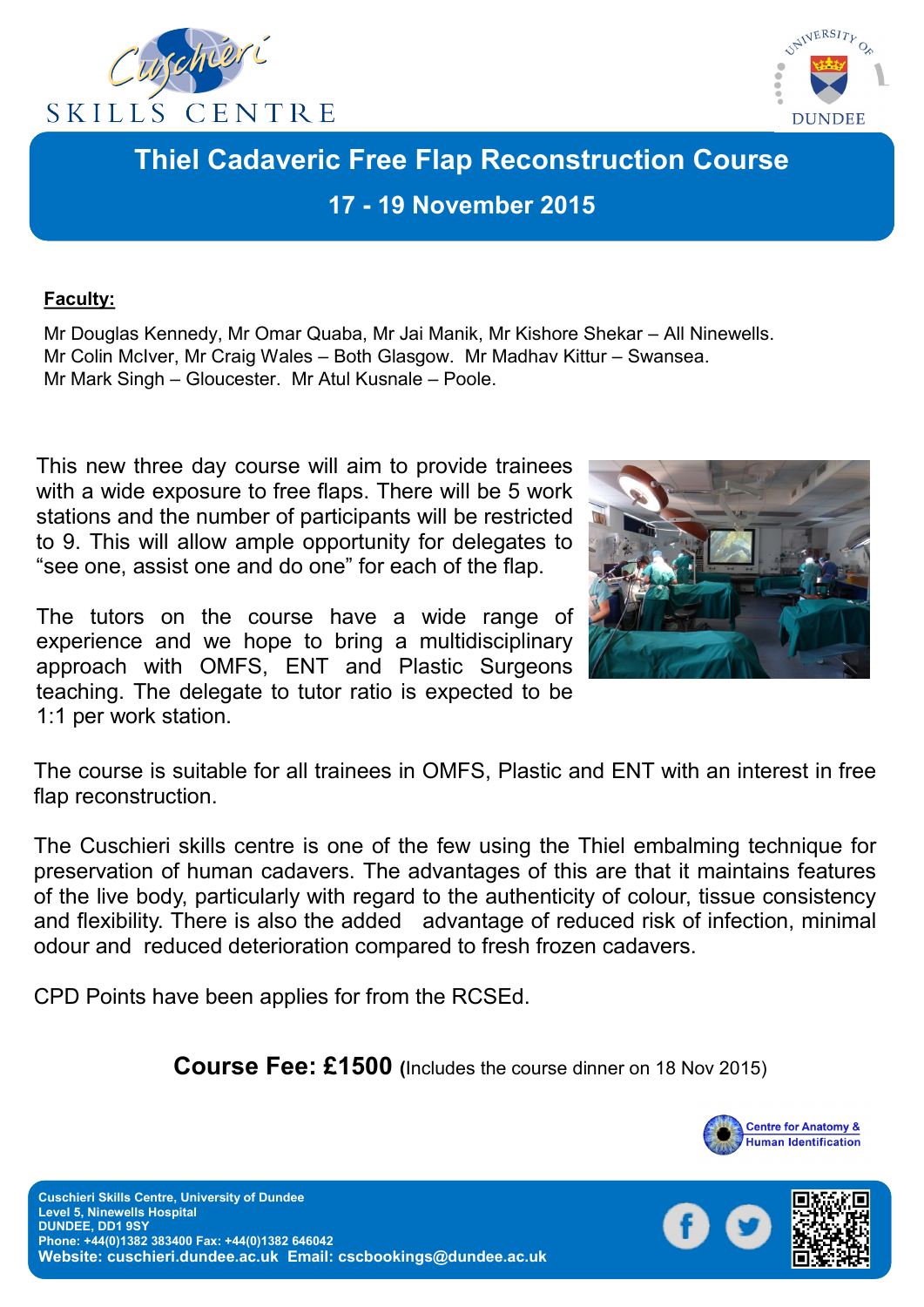



# **Thiel Cadaveric Free Flap Reconstruction Course 17 - 19 November 2015**

#### **Faculty:**

Mr Douglas Kennedy, Mr Omar Quaba, Mr Jai Manik, Mr Kishore Shekar – All Ninewells. Mr Colin McIver, Mr Craig Wales – Both Glasgow. Mr Madhav Kittur – Swansea. Mr Mark Singh – Gloucester. Mr Atul Kusnale – Poole.

This new three day course will aim to provide trainees with a wide exposure to free flaps. There will be 5 work stations and the number of participants will be restricted to 9. This will allow ample opportunity for delegates to "see one, assist one and do one" for each of the flap.

The tutors on the course have a wide range of experience and we hope to bring a multidisciplinary approach with OMFS, ENT and Plastic Surgeons teaching. The delegate to tutor ratio is expected to be 1:1 per work station.



The course is suitable for all trainees in OMFS, Plastic and ENT with an interest in free flap reconstruction.

The Cuschieri skills centre is one of the few using the Thiel embalming technique for preservation of human cadavers. The advantages of this are that it maintains features of the live body, particularly with regard to the authenticity of colour, tissue consistency and flexibility. There is also the added advantage of reduced risk of infection, minimal odour and reduced deterioration compared to fresh frozen cadavers.

CPD Points have been applies for from the RCSEd.

 **Course Fee: £1500 (**Includes the course dinner on 18 Nov 2015)